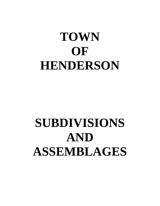# **TOWN OF HENDERSON**

# **SUBDIVISIONS AND ASSEMBLAGES**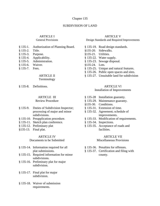#### Chapter 135

### SUBDIVISION OF LAND

# ARTICLE I

#### General Provisions

- § 135-1. Authorization of Planning Board.
- § 135-2. Title.
- § 135-3. Purpose.
- § 135-4. Applicability.
- § 135-5. Administration.
- § 135-6. Waiver.
- § 135-7. Fees.

#### ARTICLE II Terminology

§ 135-8. Definitions.

#### ARTICLE III

### Review Procedure

- § 135-9. Duties of Subdivision Inspector; processing of major and minor subdivisions.
- § 135-10. Preapplication procedure.
- § 135-11. Sketch plan conference.
- § 135-12. Preliminary plat
- §135-13. Final plat.

## ARTICLE IV

## Documents to be Submitted

- § 135-14. Information required for all plat submissions.
- § 135-15. Required information for minor subdivisions.
- § 135-16. Preliminary plat for major subdivision.
- § 135-17. Final plat for major subdivision.
- § 135-18. Waiver of submission requirements.

#### ARTICLE V

Design Standards and Required Improvements

- § 135-19. Road design standards. §135-20. Sidewalks. §135-21. Utilities. § 135-22. Water supply. § 135-23. Sewage disposal. §135-24. Lots.
- § 135-25. Unique and natural features.
- § 135-26. Public open spaces and sites.
- § 135-27. Unsuitable land for subdivision

#### ARTICLE VI

#### Installation of Improvements

- § 135-28 Installation guaranty.
- § 135-29. Maintenance guaranty.
- §135-30. Conditions.
- § 135-31. Extension of time.
- § 135-32. Agreement; schedule of improvements.
- § 135-33. Modification of requirements.
- § 135-34. Inspections.
- § 135-35. Acceptance of roads and facilities.

#### ARTICLE VII

#### Miscellaneous Provisions

- § 135-36. Penalties for offenses.
- § 135-37. Certification and filing with county.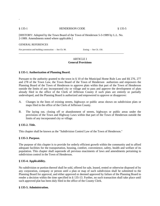.

#### § 135-1 HENDERSON CODE § 135-5

[HISTORY: Adopted by the Town Board of the Town of Henderson 5-3-1989 by L.L. No. 2-1989. Amendments noted where applicable.]

\_\_\_\_\_\_\_\_\_\_\_\_\_\_\_\_\_\_\_\_\_\_\_\_\_\_\_\_\_\_\_\_\_\_\_\_\_\_\_\_\_\_\_\_\_\_\_\_\_\_\_\_\_\_\_\_\_\_\_\_\_\_\_\_\_\_\_\_\_\_\_\_\_

#### GENERAL REFERENCES

Fire prevention and building construction — See Ch. 90. Zoning — See Ch. 150.

#### ARTICLE I **General Provisions**

#### **§ 135-1. Authorization of Planning Board.**

Pursuant to the authority granted to the town in § 10 of the Municipal Home Rule Law and §§ 276, 277 and 278 of the Town Law, the Town Board of the Town of Henderson authorizes and empowers the Planning Board of the Town of Henderson to approve plats within that part of the Town of Henderson outside the limits of any incorporated city or village and to pass and approve the development of plats already filed in the office of the Clerk of Jefferson County if such plats are entirely or partially undeveloped, and the Planning Board is authorized and empowered to approve or disapprove:

- A. Changes in the lines of existing streets, highways or public areas shown on subdivision plats or maps filed in the office of the Clerk of Jefferson County.
- B. The laying out, closing off or abandonment of streets, highways or public areas under the provisions of the Town and Highway Laws within that part of the Town of Henderson outside the limits of any incorporated city or village.

#### **§ 135-2. Title.**

This chapter shall be known as the "Subdivision Control Law of the Town of Henderson."

#### **§ 135-3. Purpose.**

The purpose of this chapter is to provide for orderly efficient growth within the community and to afford adequate facilities for the transportation, housing, comfort, convenience, safety, health and welfare of its population. This chapter shall supersede all previous enactments of laws and amendments pertaining to subdivision control in the Town of Henderson.

#### **§ 135-4. Applicability.**

No subdivision or portion thereof shall be sold, offered for sale, leased, rented or otherwise disposed of by any corporation, company or person until a plan or map of such subdivision shall be submitted to the Planning Board for approval, and either approved or deemed approved by failure of the Planning Board to render a decision within the time specified in § 135-13. Further, no such transaction shall take place until such approved plat has been duly filed in the office of the County Clerk.

#### **§ 135-5. Administration.**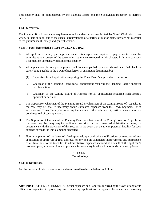This chapter shall be administered by the Planning Board and the Subdivision Inspector, as defined herein.

#### **§ 135-6. Waiver.**

The Planning Board may waive requirements and standards contained in Articles V and VI of this chapter when, in their opinion, due to the special circumstances of a particular plat or plats, they are not essential to the public's health, safety and general welfare.

#### **§ 135-7. Fees. [Amended 2-5-1992 by L.L. No. 1-1992]**

- A. All applicants for any plat approval under this chapter are required to pay a fee to cover the administrative expenses of the town unless otherwise exempted in this chapter. Failure to pay such a fee shall be deemed a violation of this chapter.
- B. All applications for any plat approval shall be accompanied by a cash deposit, certified check or surety bond payable to the Town of Henderson in an amount determined by:
	- (1) Supervisor for all applications requiring the Town Board's approval or other action.
	- (2) Chairman of the Planning Board, for all applications requiring the Planning Board's approval or other action.
	- (3) Chairman of the Zoning Board of Appeals for all applications requiring such Board's approval or decision.
- C. The Supervisor, Chairman of the Planning Board or Chairman of the Zoning Board of Appeals, as the case may be, shall if necessary obtain estimated expenses from the Town Engineer, Town Attorney and Town Clerk prior to setting the amount of the cash deposit, certified check or surety bond required of each applicant.
- D. The Supervisor, Chairman of the Planning Board or Chairman of the Zoning Board of Appeals, as the case may be, may require additional security for the town's administrative expense, in accordance with the provisions of this section, in the event that the town's potential liability for such expense exceeds the initial amount deposited.
- E. Upon completion of the latter of: final approval, approval with modifications or rejection of any application or approval; or final approval of any and all completed improvements and submission of all final bills to the town for its administrative expenses incurred as a result of the applicant's proposed plan, all unused funds or proceeds from a surety bond shall be refunded to the applicant.

#### ARTICLE II **Terminology**

#### **§ 135-8. Definitions.**

For the purpose of this chapter words and terms used herein are defined as follows:

**ADMINISTRATIVE EXPENSES**: All actual expenses and liabilities incurred by the town or any of its officers or agencies in processing and reviewing applications or appeals hereunder and ensuring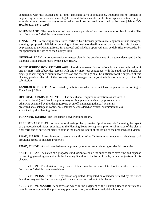compliance with this chapter and all other applicable laws or regulations, including but not limited to engineering fees and disbursements, legal fees and disbursements, publication expenses, actual charges, administrative expenses and any other actual expenditures incurred or accrued by the town. **[Added 2-5- 1992 by L.L. No. 1-1992]**

**ASSEMBLAGE**: The combination of two or more parcels of land to create one lot, block or site. The term "subdivision" shall include assemblage.

**FINAL PLAT:** A drawing in final form, certified by a licensed professional engineer or land surveyor, showing a proposed subdivision containing all information or detail required by law and by this chapter to be presented to the Planning Board for approval and which, if approved, may be duly filed or recorded by the applicant in the office of the County Clerk.

**GENERAL PLAN:** A comprehensive or master plan for the development of the town, developed by the Planning Board and approved by the Town Board.

**JOINT SUBDIVISION/ASSEMBLAGE:** The simultaneous division of one lot and the combination of one or more such subdivided parcels with one or more lots contiguous with the subdivided parcels. A single plat showing such simultaneous division and assemblage shall be sufficient for the purposes of this chapter, provided that all of the property owners engaged in the joint subdivision are party to the plat submission.

**LANDLOCKED LOT:** A lot created by subdivision which does not have proper access according to Town Law § 280-a.

**OFFICIAL SUBMISSION DATE** — The date that all required information (as set forth in Article IV, herein) and fees for a preliminary or final plat are received by, presented to or otherwise examined by the Planning Board at an official meeting thereof. Materials presented at a sketch plan conference shall not be considered an official submission unless so decided by the Planning Board.

**PLANNING BOARD**: The Henderson Town Planning Board.

**PRELIMINARY PLAT:** A drawing or drawings clearly marked "preliminary plat" showing the layout of a proposed subdivision, submitted to the Planning Board for approval prior to submission of the plat in final form and of sufficient detail to apprise the Planning Board of the layout of the proposed subdivision.

**ROAD, MAJOR**: A road intended to serve heavy flows of traffic from minor roads or as a business road providing access to business properties.

**ROAD, MINOR**: A road intended to serve primarily as an access to abutting residential properties.

**SKETCH PLAN:** A sketch of a proposed subdivision to enable the subdivider to save time and expense in reaching general agreement with the Planning Board as to the form of the layout and objectives of this chapter.

**SUBDIVISION**: The division of any parcel of land into two or more lots, blocks or sites. The term "subdivision" shall include assemblage.

**SUBDIVISION INSPECTOR**: Any person appointed, designated or otherwise retained by the Town Board to carry out the functions assigned to such person according to this chapter.

**SUBDIVISION, MAJOR:** A subdivision which in the judgment of the Planning Board is sufficiently complex as to require both a preliminary plat submission, as well as a final plat submission.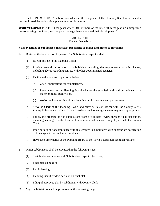**SUBDIVISION, MINOR:** A subdivision which in the judgment of the Planning Board is sufficiently uncomplicated that only a final plat submission is required.

**UNDEVELOPED PLAT**: Those plats where 20% or more of the lots within the plat are unimproved unless existing conditions, such as poor drainage, have prevented their development.1

#### ARTICLE III **Review Procedure**

#### **§ 135-9. Duties of Subdivision Inspector; processing of major and minor subdivisions.**

- A. Duties of the Subdivision Inspector. The Subdivision Inspector shall:
	- (1) Be responsible to the Planning Board.
	- (2) Provide general information to subdividers regarding the requirements of this chapter, including advice regarding contact with other governmental agencies.
	- (3) Facilitate the process of plat submission.
		- (a) Check applications for completeness.
		- (b) Recommend to the Planning Board whether the submission should be reviewed as a major or minor subdivision.
		- (c) Assist the Planning Board in scheduling public hearings and plat reviews.
	- (4) Serve as Clerk of the Planning Board and serve as liaison officer with the County Clerk, Zoning Enforcement Officer, Town Board and such other agencies as may seem appropriate.
	- (5) Follow the progress of plat submissions from preliminary review through final disposition, including keeping records of dates of submission and dates of filing of plats with the County Clerk.
	- (6) Issue notices of noncompliance with this chapter to subdividers with appropriate notification of town agencies of such noncompliance.
	- (7) Have such other duties as the Planning Board or the Town Board shall deem appropriate.
- B. Minor subdivisions shall be processed in the following stages:
	- (1) Sketch plan conference with Subdivision Inspector (optional).
	- (2) Final plat submission.
	- (3) Public hearing.
	- (4) Planning Board renders decision on final plat.
	- (5) Filing of approved plat by subdivider with County Clerk.
- C. Major subdivisions shall be processed in the following stages: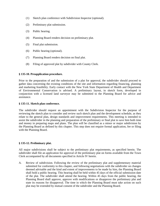- (1) Sketch plan conference with Subdivision Inspector (optional).
- (2) Preliminary plat submission.
- (3) Public hearing.
- (4) Planning Board renders decision on preliminary plat.
- (5) Final plat submission.
- (6) Public hearing (optional).
- (7) Planning Board renders decision on final plat.
- (8) Filing of approved plat by subdivider with County Clerk.

#### **§ 135-10. Preapplication procedure.**

Prior to the preparation of and the submission of a plat for approval, the subdivider should proceed to gather data concerning the existing conditions of the site and information regarding financing, planning and marketing feasibility. Early contact with the New York State Department of Health and Department of Environmental Conservation is advised. A preliminary layout, in sketch form, developed in conjunction with a licensed land surveyor may be submitted to the Planning Board for advice and assistance.

#### **§ 135-11. Sketch plan conference.**

The subdivider should request an appointment with the Subdivision Inspector for the purpose of reviewing the sketch plan to consider and review such sketch plan and the development schedule, as they relate to the general plan, design standards and improvement requirements. This meeting is intended to assist the subdivider in the planning and preparation of the preliminary or final plat to save him both time and money in preparing maps and plans. The plan will be classified as a minor or major subdivision by the Planning Board as defined by this chapter. This step does not require formal application, fee or filing with the Planning Board.

#### **§ 135-12. Preliminary plat.**

All major subdivisions shall be subject to the preliminary plat requirements, as specified herein. The subdivider shall file an application for approval of the preliminary plat on forms available from the Town Clerk accompanied by all documents specified in Article IV herein.

A. Review of subdivision. Following the review of the preliminary plat and supplementary material submitted for conformity to this chapter, and following negotiations with the subdivider on changes deemed advisable and the kind and extent of improvements to be made by him, the Planning Board shall hold a public hearing. This hearing shall be held within 45 days of the official submission date of the plat. The subdivider shall attend the hearing. Within 45 days from the public hearing, the Planning Board shall approve, approve with modifications or disapprove the preliminary plat and state its reasons for disapproval. The time in which the Planning Board must take action on such plat may be extended by mutual consent of the subdivider and the Planning Board.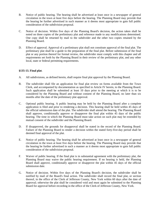- B. Notice of public hearing. The hearing shall be advertised at least once in a newspaper of general circulation in the town at least five days before the hearing. The Planning Board may provide that the hearing be further advertised in such manner as it deems most appropriate to gain full public consideration of the subdivision proposal.
- C. Notice of decision. Within five days of the Planning Board's decision, the action taken shall be noted on three copies of the preliminary plat and reference made to any modifications determined. One copy shall be returned by mail to the subdivider and the other two copies retained by the Planning Board.
- D. Effect of approval. Approval of a preliminary plat shall not constitute approval of the final plat. The preliminary plat shall be a guide to the preparation of the final plat. Before submission of the final plat or any portion thereof for formal review, the subdivider must comply with this chapter and all requirements set forth by the Planning Board in their review of the preliminary plat, and any other local, state or federal permitting requirements.

#### **§135-13. Final plat**.

- A. All subdivisions, as defined herein, shall require final plat approval by the Planning Board.
- B. The subdivider shall file an application for final plat review on forms available from the Town Clerk, and accompanied by documentation as specified in Article IV herein, to the Planning Board. Such application shall be submitted at least 10 days prior to the meeting at which it is to be considered by the Planning Board and without consent of the Planning Board, no later than six months after the date of the preliminary plat approval.
- C. Optional public hearing. A public hearing may be held by the Planning Board after a complete application is filed and prior to rendering a decision. This hearing shall be held within 45 days of the official submission date of the plat. The subdivider shall attend the hearing. The Planning Board shall approve, conditionally approve or disapprove the final plat within 45 days of the public hearing. The time in which the Planning Board must take action on such plat may be extended by mutual consent of the subdivider and the Planning Board.
- D. If disapproved, the grounds for disapproval shall be stated in the record of the Planning Board. Failure of the Planning Board to render a decision within the stated forty-five-day period shall be deemed final approval of the plat.
- E. Notice of public hearing. The hearing shall be advertised at least once in a newspaper of general circulation in the town at least five days before the hearing. The Planning Board may provide that the hearing be further advertised in such a manner as it deems most appropriate to gain full public consideration of the subdivision proposal.
- F. Waiver of public hearing. If the final plat is in substantial agreement with the preliminary plat, the Planning Board may waive the public hearing requirement. If no hearing is held, the Planning Board shall approve, conditionally approve or disapprove the plat within 45 days of the official submission date.
- G. Notice of decision. Within five days of the Planning Board's decision, the subdivider shall be notified by mail of the Board's final action. The subdivider shall record the final plat, or section thereof, in the office of the Clerk of Jefferson County, New York within 60 days after the date of approval; otherwise the plat shall be considered void and must again be submitted to the Planning Board for approval before recording in the office of the Clerk of Jefferson County, New York.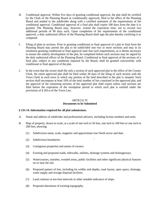- H. Conditional approval. Within five days of granting conditional approval, the plat shall be certified by the Clerk of the Planning Board as conditionally approved, filed in the office of the Planning Board and mailed to the subdivider along with a certified statement of the requirements of the conditional approval. Conditional approval of a final plat shall expire 180 days from the date it is granted. The Planning Board may, however, extend the expiration time, not to exceed two additional periods of 90 days each. Upon completion of the requirements of the conditional approval, a duly authorized officer of the Planning Board shall sign the plat thereby certifying it as competed.
- I. Filing of plats in sections. Prior to granting conditional or final approval of a plat in final form the Planning Board may permit the plat to be subdivided into two or more sections and may in its resolution granting conditional or final approval state that such requirements, as it deems necessary to ensure the orderly development of the plat, be completed before such sections may be signed by the duly authorized officer of the Planning Board. Conditional or final approval of the sections of a final plat, subject to any conditions imposed by the Board, shall be granted concurrently with conditional or final approval of the plat.
- J. In the event that the owner shall file only a section of such approved plat in the office of the County Clerk, the entire approved plat shall be filed within 30 days of the filing of such section with the Town Clerk in each town in which any portion of the land described in the plat is situated. Such section shall encompass at least 10% of the total number of lots contained in the approved plat, and the approval of the remaining sections of the approved plat shall expire unless said sections are filed before the expiration of the exemption period to which such plat is entitled under the provisions of § 265-a of the Town Law.

#### ARTICLE IV **Documents to be Submitted**

### **§ 135-14. Information required for all plat submissions.**

- A. Name and address of subdivider and professional advisers, including license numbers and seals.
- B. Map of property, drawn to scale, at a scale of one inch to 50 feet, one inch to 100 feet or one inch to 200 feet, showing:
	- (1) Subdivision name, scale, magnetic and approximate true North arrow and date.
	- (2) Subdivision boundaries. '
	- (3) Contiguous properties and names of owners.
	- (4) Existing and proposed roads, sidewalks, utilities, drainage systems and drainageways.
	- (5) Watercourses, marshes, wooded areas, public facilities and other significant physical features on or near the site.
	- (6) Proposed pattern of lots, including lot widths and depths, road layout, open space, drainage, water supply and sewage disposal facilities.
	- (7) Land contours at ten-foot intervals or other suitable indicators of slope.
	- (8) Proposed alterations of existing topography.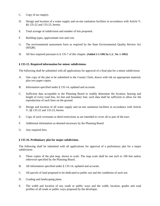- C. Copy of tax map(s).
- D. Design and location of a water supply and on-site sanitation facilities in accordance with Article V, §§ 135-22 and 135-23, herein.
- E. Total acreage of subdivision and number of lots proposed.
- F. Building types, approximate size and cost.
- G. The environmental assessment form as required by the State Environmental Quality Review Act (SEQR).
- H. All fees required pursuant to § 135-7 of this chapter. **[Added 2-5-1992 by L.L. No. 1-1992]**

#### **§ 135-15. Required information for minor subdivisions.**

The following shall be submitted with all applications for approval of a final plat for a minor subdivision:

- A. One copy of the plat to be submitted to the County Clerk, drawn with ink on appropriate material, plus two paper copies.
- B. Information specified under § 135-14, updated and accurate.
- C. Sufficient data acceptable to the Planning Board to readily determine the location, bearing and length of every road line, lot line and boundary line; such data shall be sufficient to allow for the reproduction of such lines on the ground.
- D. Design and location of all water supply and on-site sanitation facilities in accordance with Article V, §§ 135-22 and 135-23, herein.
- E. Copy of such covenants or deed restrictions as are intended to cover all or part of the tract.
- F. Additional information as deemed necessary by the Planning Board.
- G. Any required fees.

#### **§ 135-16. Preliminary plat for major subdivision.**

The following shall be submitted with all applications for approval of a preliminary plat for a major subdivision:

- A. Three copies of the plat map, drawn to scale. The map scale shall be one inch to 100 feet unless otherwise specified by the Planning Board.
- B. All information specified under § 135-14, updated and accurate.
- C. All parcels of land proposed to be dedicated to public use and the conditions of such use.
- D. Grading and landscaping plans.
- E. The width and location of any roads or public ways and the width, location, grades and road profiles of all roads or public ways proposed by the developer.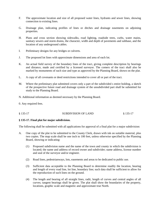- F. The approximate location and size of all proposed water lines, hydrants and sewer lines, showing connection to existing lines.
- G. Drainage plan, indicating profiles of lines or ditches and drainage easements on adjoining properties.
- H. Plans and cross section showing sidewalks, road lighting, roadside trees, curbs, water mains, sanitary sewers and storm drains, the character, width and depth of pavements and subbase, and the location of any underground cables.
- I. Preliminary designs for any bridges or culverts.
- J. The proposed lot lines with approximate dimensions and area of each lot.
- K. An actual field survey of the boundary lines of the tract, giving complete description by bearings and distance, made and certified by a licensed surveyor. The comers of the tract shall also be marked by monuments of such size and type as approved by the Planning Board, shown on the plat.
- L. A copy of all covenants or deed restrictions intended to cover all or part of the tract.
- M. Where the preliminary plat submitted covers only a part of the subdivided s entire holding, a sketch of the prospective future road and drainage system of the unsubdivided part shall be submitted for study to the Planning Board.
- N. Additional information as deemed necessary by the Planning Board.
- 0. Any required fees.

#### § 135-17 SUBDIVISION OF LAND § 135-17

#### **§ 135-17. Final plat for major subdivision.**

The following shall be submitted with all applications for approval of a final plat for a major subdivision:

- A. One copy of the plat to be submitted to the County Clerk, drawn with ink on suitable material, plus two copies. The map scale shall be one inch to 100 feet, unless otherwise specified by the Planning Board, showing or indicating:
	- (1) Proposed subdivision name and the name of the town and county in which the subdivision is located; the name and address of record owner and subdivider; name address, license number and seal of the surveyor and/or engineer.
	- (2) Road lines, pedestrianways, lots, easements and areas to be dedicated to public use.
	- (3) Sufficient data acceptable to the Planning Board to determine readily the location, bearing and length of every road line, lot line, boundary line; such data shall be sufficient to allow for the reproduction of such lines on the ground.
	- (4) The length and bearing of all straight lines, radii, length of curves and central angles of all curves; tangent bearings shall be given. The plat shall show the boundaries of the property, locations, graphic scale and magnetic and approximate true North.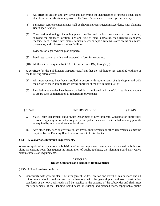- (5) All offers of cession and any covenants governing the maintenance of unceded open space shall bear the certificate of approval of the Town Attorney as to their legal sufficiency.
- (6) Permanent reference monuments shall be shown and constructed in accordance with Planning Board specifications.
- (7) Construction drawings, including plans, profiles and typical cross sections, as required, showing the proposed location, size and type of road, sidewalks, road lighting standards, roadside trees, curbs, water mains, sanitary sewer or septic systems, storm drains or ditches, pavements, and subbase and other facilities.
- (8) Evidence of legal ownership of property.
- (9) Deed restrictions, existing and proposed in form for recording.
- (10) All those items required by § 135-14, Subsections B(2) through (8).
- B. A certificate by the Subdivision Inspector certifying that the subdivider has complied withone of the following alternatives:
	- (1) All improvements have been installed in accord with requirements of this chapter and with the action of the Planning Board giving approval of the preliminary plat; or
	- (2) Installation guaranties have been provided for, as indicated in Article VI, in sufficient amount to assure such completion of all required improvements.

#### § 135-17 HENDERSON CODE § 135-19

- C. State Health Department and/or State Department of Environmental Conservation approval(s) of water supply systems and sewage disposal systems as shown or installed, and any permits as required by any federal, state or local law.
- D. Any other data, such as certificates, affidavits, endorsements or other agreements, as may be required by the Planning Board in enforcement of this chapter.

#### **§ 135-18. Waiver of submission requirements.**

When an application concerns a subdivision of an uncomplicated nature, such as a small subdivision along an existing road that requires no installation of public facilities, the Planning Board may waive certain submission requirements.

#### ARTICLE V **Design Standards and Required Improvements**

#### **§ 135-19. Road design standards.**

A. Conformity with general plan. The arrangement, width, location and extent of major roads and all minor roads should conform and be in harmony with the general plan and road construction standards of the town. All roads shall be installed at the expense of the subdivider and shall meet the requirements of the Planning Board based on existing and planned roads, topography, public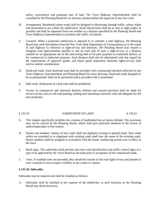safety, convenience and proposed uses of land. The Town Highway Superintendent shall be consulted by the Planning Board for an advisory opinion before the approval of any new road.

- B. Arrangement. Residential minor roads shall be designed to discourage through traffic, whose origin and destination is not within the subdivision. Road intersections shall be as near to right angles as possible and shall be separated from one another at a distance specified by the Planning Board and Town Highway Superintendent to promote safe traffic circulation.
- C. Location. When a proposed subdivision is adjacent to or contains a state highway, the Planning Board may seek information from the New York State Department of Transportation as to the status of said highway in reference to right-of-way and direction. The Planning Board may require a marginal road approximately parallel to and on each side of such a right-of-way at a distance suitable for an appropriate use of the intervening land as for park purposes in residential district, or for commercial or industrial purposes. Such distance shall also be determined with due regard for the requirements of approach grades and future grade separation. Railroad rights-of-way shall receive similar consideration.
- D. Dead-end roads. Each dead-end road shall be provided with a turnaround deemed sufficient by the Town Highway Superintendent and Planning Board for snow plowing. Dead-end roads designed to be so permanently shall not be permitted unless provided with a turnaround.
- E. Half roads. Dedication of a half road shall be prohibited.
- F. Access. In commercial and industrial districts, definite and assured provision shall be made for service access, such as off-road parking, loading and unloading consistent with and adequate for the uses proposed.

#### § 135-19 SUBDIVISION OF LAND § 135-21

- G. This chapter specifically prohibits the creation of landlocked lots as herein defined. This provision may not be waived by the Planning Board, which shall give particular attention to the review of undeveloped plats in this context.
- H. Names and numbers. Names of new roads shall not duplicate existing or platted roads. New roads which are extended or in alignment with existing roads shall bear the name of the existing roads. House numbers shall be assigned in accordance with the house- numbering system now in effect in the town.
- I. Road signs. The subdivider shall provide and erect road identification and traffic control signs of a type to be approved by the Town Board on all roads prior to acceptance of the constructed roads.
- J. Trees. If roadside trees are provided, they should be outside of the road right-of-way and planted in such a manner as not to impair visibility at any comer or comers.

#### **§ 135-20. Sidewalks.**

Sidewalks may be required and shall be installed as follows:

A. Sidewalks shall be installed at the expense of the subdivider, at such locations as the Planning Board may deem necessary.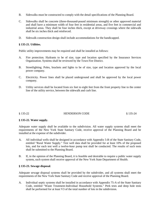- B. Sidewalks must be constructed to comply with the detail specifications of the Planning Board.
- C. Sidewalks shall be concrete (three-thousand-pound minimum strength) or other approved material and shall have a minimum width of four feet in residential areas, and five feet in commercial and industrial areas. They shall be four inches thick, except at driveway crossings where the sidewalk shall be six inches thick and reinforced.
- D. Sidewalk construction design shall include accommodations for the handicapped.

#### **§ 135-21. Utilities.**

Public utility improvements may be required and shall be installed as follows:

- A. Fire protection. Hydrants to be of size, type and location specified by the Insurance Services Organization. Systems shall be reviewed by the Town Fire District.
- B. Streetlighting. Poles, brackets and lights to be of size, type and location approved by the local power company.
- C. Electricity. Power lines shall be placed underground and shall be approved by the local power company.
- D. Utility services shall be located from six feet to eight feet from the front property line to the center line of the utility service, between the sidewalk and curb line.

#### § 135-22 HENDERSON CODE § 135-24

#### **§ 135-22. Water supply.**

Adequate water supply shall be available to the subdivision. All water supply systems shall meet the requirements of the New York State Sanitary Code, receive approval of the Planning Board and be installed at the expense of the subdivider.

- A. All individual wells shall be designed in accordance with Appendix 5-B of the State Sanitary Code, entitled "Rural Water Supply." Test well data shall be provided for at least 10% of the proposed lots, and for each test well a twelve-hour pump test shall be conducted. The results of such tests shall be submitted to the Planning Board.
- B. If, in the opinion of the Planning Board, it is feasible and desirable to require a public water supply system, such system shall receive approval of the New York State Department of Health.

#### **§ 135-23. Sewage disposal**.

Adequate sewage disposal systems shall be provided by the subdivider, and all systems shall meet the requirements of the New York State Sanitary Code and receive approval of the Planning Board.

A. Individual septic systems shall be installed in accordance with Appendix 75-A of the State Sanitary Code, entitled "Waste Treatment-Individual Household Systems." Perk tests and deep hole tests shall be performed for at least V3 of the total number of lots in the subdivision.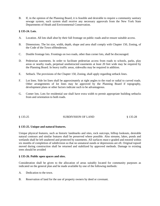B. If, in the opinion of the Planning Board, it is feasible and desirable to require a community sanitary sewage system, such system shall receive any necessary approvals from the New York State Departments of Heath and Environmental Conservation.

#### **§ 135-24. Lots**.

- A. Location. All lots shall abut by their full frontage on public roads and/or ensure suitable access.
- B. Dimensions. The lot size, width, depth, shape and area shall comply with Chapter 150, Zoning, of the Code of the Town ofHenderson.
- C. Double frontage lots. Frontings on two roads, other than corner lots, shall be discouraged.
- D. Pedestrian easements. In order to facilitate pedestrian access from roads to schools, parks, play areas or nearby roads, perpetual unobstructed easements at least 20 feet wide may be required by the Planning Board. In heavy traffic areas, sidewalks may be required in addition.
- E. Setback. The provisions of the Chapter 150, Zoning, shall apply regarding setback lines.
- F. Lot lines. Side lot lines shall be approximately at right angles to the road or radial to curved roads. Other arrangements of lot lines may be approved by the Planning Board if topography, development plans or other factors indicate such to be advantageous.
- G. Comer lots. Lots for residential use shall have extra width to permit appropriate building setbacks from and orientation to both roads.

### § 135-25 SUBDIVISION OF LAND § 135-28

#### **§ 135-25. Unique and natural features.**

Unique physical features, such as historic landmarks and sites, rock outcrops, hilltop lookouts, desirable natural contours and similar features shall be preserved where possible. Also streams, lakes, ponds and wetlands shall be left unaltered and protected by easements. All surfaces must e graded and estored within six months of completion of subdivision so that no unnatural ounds or depressions are eft. Original topsoil moved during construction shall be returned and stabilized by approved methods. Damage to existing trees should be avoided

#### **§ 135-26. Public open spaces and sites.**

Consideration shall be given to the allocation of areas suitably located for community purposes as indicated on the general plan and be made available by one of the following methods:

- A. Dedication to the town.
- B. Reservation of land for the use of property owners by deed or covenant.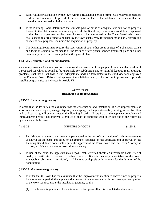- C. Reservation for acquisition by the town within a reasonable period of time. Said reservation shall be made in such manner as to provide for a release of the land to the subdivider in the event that the town does not proceed with the purchase.
- D. If the Planning Board determines that suitable park or parks of adequate size can not be properly located in the plat or are otherwise not practical, the Board may require as a condition to approval of the plat that a payment to the town of a sum to be determined by the Town Board, which sum shall constitute a trust fund to be used by the town exclusively for neighborhood park, playground or recreational purposes, including the acquisition of property.
- E. The Planning Board may require the reservation of such other areas or sites of a character, extent and location suitable to the needs of the town as water plants, sewage treatment plant and other community purposes not anticipated in the general plan.

#### **§ 135-27. Unsuitable land for subdivision.**

As a safety measure for the protection of the health and welfare of the people of the town, that portion of a proposed lot which is found to be unsuitable for subdivision due to harmful features (e.g., drainage problems) shall not be subdivided until adequate methods are formulated by the subdivider and approved by the Planning Board. Before final approval the subdivider shall, in lieu of the improvements, provide installation guaranties as indicated in Article VI.

#### ARTICLE VI **Installation of Improvements**

#### **§ 135-28. Installation guaranty.**

In order that the town has the assurance that the construction and installation of such improvements as storm sewers, water supply, sewage disposal, landscaping, road signs, sidewalks, parking, access facilities and road surfacing will be constructed, the Planning Board shall require that the applicant complete said improvements before final approval is granted or that the applicant shall enter into one of the following agreements with the town:

§ 135-28 HENDERSON CODE § 135-31

- A. Furnish bond executed by a surety company equal to the cost of construction of such improvements as shown on the plans and based on an estimate furnished by the applicant and approved by the Planning Board. Such bond shall require the approval of the Town Board and the Town Attorney as to form, sufficiency, manner of execution and surety.
- B. In lieu of the bond, the applicant may deposit cash, certified check, an irrevocable bank letter of credit, a certificate of deposit or other forms of financial security acceptable to the town. Acceptable substitutes, if furnished, shall be kept on deposit with the town for the duration of the bond period.

#### **§ 135-29. Maintenance guaranty.**

- A. In order that the town has the assurance that the improvements mentioned above function properly for a reasonable period, the applicant shall enter into an agreement with the town upon completion of the work required under the installation guaranty so that:
	- (1) Such work is guaranteed for a minimum of two years after it is completed and inspected.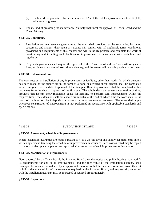- (2) Such work is guaranteed for a minimum of 10% of the total improvement costs or \$5,000, whichever is greater.
- B. The method of providing the maintenance guaranty shall meet the approval of Town Board and the Town Attorney.

#### **§ 135-30. Conditions.**

- A. Installation and maintenance guaranties to the town shall provide that the subdivider, his heirs, successors and assigns, their agent or servants will comply with all applicable terms, conditions, provisions and requirements of this chapter and will faithfully perform and complete the work of constructing and installing such facilities or improvements in accordance with such laws and regulations.
- B. Any such guaranties shall require the approval of the Town Board and the Town Attorney as to form, sufficiency, manner of execution and surety, and the same shall be made payable to the town.

#### **§ 135-31. Extension of time.**

The construction or installation of any improvements or facilities, other than roads, for which guaranty has been made by the subdivider in the form of a bond or certified check deposit, shall be completed within one year from the date of approval of the final plat. Road improvements shall be completed within two years from the date of approval of the final plat. The subdivider may request an extension of time, provided that he can show reasonable cause for inability to perform said improvements within the required time. The extension shall not exceed six months, at the end of which time the town may use as much of the bond or check deposit to construct the improvements as necessary. The same shall apply whenever construction of improvements is not performed in accordance with applicable standards and specifications.

### § 135-32 SUBDIVISION OF LAND § 135-37

#### **§ 135-32. Agreement; schedule of improvements.**

When installation guaranties are made pursuant to § 135-28, the town and subdivider shall enter into a written agreement itemizing the schedule of improvements in sequence. Each cost as listed may be repaid to the subdivider upon completion and approval after inspection of such improvement or installation.

#### **§ 135-33. Modification of requirements**.

Upon approval by the Town Board, the Planning Board after due notice and public hearing may modify its requirements for any or all improvements, and the face value of the installation guaranty shall thereupon be increased or reduced by an appropriate amount so that the new face value will cover the cost in full of the amended list of improvements required by the Planning Board, and any security deposited with the installation guaranty may be increased or reduced proportionately.

#### **§ 135-34. Inspections.**